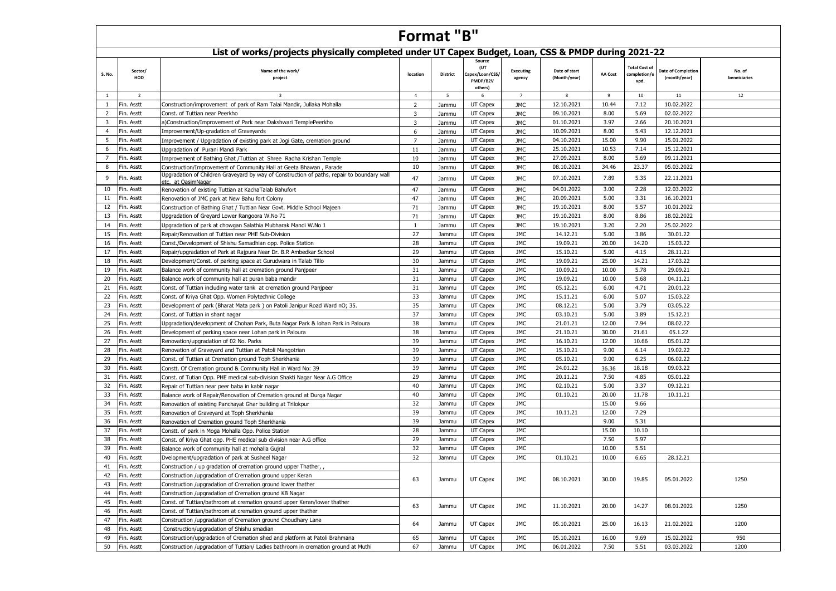|                | <b>Format "B"</b><br>List of works/projects physically completed under UT Capex Budget, Loan, CSS & PMDP during 2021-22 |                                                                                                                  |                         |          |                                                        |                            |                               |                |                                              |                                           |                        |  |  |  |
|----------------|-------------------------------------------------------------------------------------------------------------------------|------------------------------------------------------------------------------------------------------------------|-------------------------|----------|--------------------------------------------------------|----------------------------|-------------------------------|----------------|----------------------------------------------|-------------------------------------------|------------------------|--|--|--|
|                |                                                                                                                         |                                                                                                                  |                         |          |                                                        |                            |                               |                |                                              |                                           |                        |  |  |  |
| S. No.         | Sector/<br>HOD                                                                                                          | Name of the work/<br>project                                                                                     | location                | District | Source<br>(UT<br>Capex/Loan/CSS<br>PMDP/B2V<br>others) | <b>Executing</b><br>agency | Date of start<br>(Month/year) | <b>AA Cost</b> | <b>Total Cost of</b><br>completion/e<br>xpd. | <b>Date of Completion</b><br>(month/year) | No. of<br>beneiciaries |  |  |  |
| <sup>1</sup>   | $\overline{2}$                                                                                                          | $\overline{\mathbf{3}}$                                                                                          | $\overline{4}$          | 5        | 6                                                      | 7                          | 8                             | 9              | 10                                           | 11                                        | 12                     |  |  |  |
| 1              | Fin. Asstt                                                                                                              | Construction/improvement of park of Ram Talai Mandir, Jullaka Mohalla                                            | $\overline{2}$          | Jammu    | UT Capex                                               | JMC                        | 12.10.2021                    | 10.44          | 7.12                                         | 10.02.2022                                |                        |  |  |  |
| 2              | Fin. Asstt                                                                                                              | Const. of Tuttian near Peerkho                                                                                   | $\overline{\mathbf{3}}$ | Jammu    | UT Capex                                               | <b>JMC</b>                 | 09.10.2021                    | 8.00           | 5.69                                         | 02.02.2022                                |                        |  |  |  |
| 3              | Fin. Asstt                                                                                                              | a)Construction/Improvement of Park near Dakshwari TemplePeerkho                                                  | $\overline{\mathbf{3}}$ | Jammu    | UT Capex                                               | <b>JMC</b>                 | 01.10.2021                    | 3.97           | 2.66                                         | 20.10.2021                                |                        |  |  |  |
| $\overline{4}$ | Fin. Asstt                                                                                                              | Improvement/Up-gradation of Graveyards                                                                           | 6                       | Jammu    | UT Capex                                               | <b>JMC</b>                 | 10.09.2021                    | 8.00           | 5.43                                         | 12.12.2021                                |                        |  |  |  |
| 5              | Fin. Asstt                                                                                                              | Improvement / Upgradation of existing park at Jogi Gate, cremation ground                                        | $\overline{7}$          | Jammu    | UT Capex                                               | JMC                        | 04.10.2021                    | 15.00          | 9.90                                         | 15.01.2022                                |                        |  |  |  |
| 6              | Fin. Asstt                                                                                                              | Upgradation of Purani Mandi Park                                                                                 | 11                      | Jammu    | UT Capex                                               | JMC                        | 25.10.2021                    | 10.53          | 7.14                                         | 15.12.2021                                |                        |  |  |  |
| $\overline{7}$ | Fin. Asstt                                                                                                              | Improvement of Bathing Ghat /Tuttian at Shree Radha Krishan Temple                                               | 10                      | Jammu    | UT Capex                                               | JMC                        | 27.09.2021                    | 8.00           | 5.69                                         | 09.11.2021                                |                        |  |  |  |
| 8              | Fin. Asstt                                                                                                              | Construction/Improvement of Community Hall at Geeta Bhawan, Parade                                               | 10                      | Jammu    | UT Capex                                               | JMC                        | 08.10.2021                    | 34.46          | 23.37                                        | 05.03.2022                                |                        |  |  |  |
| 9              | Fin. Asstt                                                                                                              | Upgradation of Children Graveyard by way of Construction of paths, repair to boundary wall<br>etc. at QasimNagar | 47                      | Jammu    | UT Capex                                               | JMC                        | 07.10.2021                    | 7.89           | 5.35                                         | 22.11.2021                                |                        |  |  |  |
| 10             | Fin. Asstt                                                                                                              | Renovation of existing Tuttian at KachaTalab Bahufort                                                            | 47                      | Jammu    | UT Capex                                               | JMC                        | 04.01.2022                    | 3.00           | 2.28                                         | 12.03.2022                                |                        |  |  |  |
| 11             | Fin. Asstt                                                                                                              | Renovation of JMC park at New Bahu fort Colony                                                                   | 47                      | Jammu    | UT Capex                                               | <b>JMC</b>                 | 20.09.2021                    | 5.00           | 3.31                                         | 16.10.2021                                |                        |  |  |  |
| 12             | Fin. Asstt                                                                                                              | Construction of Bathing Ghat / Tuttian Near Govt. Middle School Majeen                                           | 71                      | Jammu    | UT Capex                                               | <b>JMC</b>                 | 19.10.2021                    | 8.00           | 5.57                                         | 10.01.2022                                |                        |  |  |  |
| 13             | Fin. Asstt                                                                                                              | Upgradation of Greyard Lower Rangoora W.No 71                                                                    | 71                      | Jammu    | UT Capex                                               | JMC                        | 19.10.2021                    | 8.00           | 8.86                                         | 18.02.2022                                |                        |  |  |  |
| 14             | Fin. Asstt                                                                                                              | Upgradation of park at chowgan Salathia Mubharak Mandi W.No 1                                                    | 1                       | Jammu    | UT Capex                                               | <b>JMC</b>                 | 19.10.2021                    | 3.20           | 2.20                                         | 25.02.2022                                |                        |  |  |  |
| 15             | Fin. Asstt                                                                                                              | Repair/Renovation of Tuttian near PHE Sub-Division                                                               | 27                      | Jammu    | UT Capex                                               | <b>JMC</b>                 | 14.12.21                      | 5.00           | 3.86                                         | 30.01.22                                  |                        |  |  |  |
| 16             | Fin. Asstt                                                                                                              | Const./Development of Shishu Samadhian opp. Police Station                                                       | 28                      | Jammu    | UT Capex                                               | <b>JMC</b>                 | 19.09.21                      | 20.00          | 14.20                                        | 15.03.22                                  |                        |  |  |  |
| 17             | Fin. Asstt                                                                                                              | Repair/upgradation of Park at Rajpura Near Dr. B.R Ambedkar School                                               | 29                      | Jammu    | UT Capex                                               | <b>JMC</b>                 | 15.10.21                      | 5.00           | 4.15                                         | 28.11.21                                  |                        |  |  |  |
| 18             | Fin. Asstt                                                                                                              | Development/Const. of parking space at Gurudwara in Talab Tillo                                                  | 30                      | Jammu    | UT Capex                                               | <b>JMC</b>                 | 19.09.21                      | 25.00          | 14.21                                        | 17.03.22                                  |                        |  |  |  |
| 19             | Fin. Asstt                                                                                                              | Balance work of community hall at cremation ground Panjpeer                                                      | 31                      | Jammu    | UT Capex                                               | <b>JMC</b>                 | 10.09.21                      | 10.00          | 5.78                                         | 29.09.21                                  |                        |  |  |  |
| 20             | Fin. Asstt                                                                                                              | Balance work of community hall at puran baba mandir                                                              | 31                      | Jammu    | UT Capex                                               | <b>JMC</b>                 | 19.09.21                      | 10.00          | 5.68                                         | 04.11.21                                  |                        |  |  |  |
| 21             | Fin. Asstt                                                                                                              | Const. of Tuttian including water tank at cremation ground Panipeer                                              | 31                      | Jammu    | UT Capex                                               | <b>JMC</b>                 | 05.12.21                      | 6.00           | 4.71                                         | 20.01.22                                  |                        |  |  |  |
| 22             | Fin. Asstt                                                                                                              | Const. of Kriya Ghat Opp. Women Polytechnic College                                                              | 33                      | Jammu    | UT Capex                                               | <b>JMC</b>                 | 15.11.21                      | 6.00           | 5.07                                         | 15.03.22                                  |                        |  |  |  |
| 23             | Fin. Asstt                                                                                                              | Development of park (Bharat Mata park) on Patoli Janipur Road Ward nO; 35.                                       | 35                      | Jammu    | UT Capex                                               | <b>JMC</b>                 | 08.12.21                      | 5.00           | 3.79                                         | 03.05.22                                  |                        |  |  |  |
| 24             | Fin. Asstt                                                                                                              | Const. of Tuttian in shant nagar                                                                                 | 37                      | Jammu    | UT Capex                                               | <b>JMC</b>                 | 03.10.21                      | 5.00           | 3.89                                         | 15.12.21                                  |                        |  |  |  |
| 25             | Fin. Asstt                                                                                                              | Upgradation/development of Chohan Park, Buta Nagar Park & lohan Park in Paloura                                  | 38                      | Jammu    | UT Capex                                               | <b>JMC</b>                 | 21.01.21                      | 12.00          | 7.94                                         | 08.02.22                                  |                        |  |  |  |
| 26             | Fin. Asstt                                                                                                              | Development of parking space near Lohan park in Paloura                                                          | 38                      | Jammu    | UT Capex                                               | <b>JMC</b>                 | 21.10.21                      | 30.00          | 21.61                                        | 05.1.22                                   |                        |  |  |  |
| 27             | Fin. Asstt                                                                                                              | Renovation/upgradation of 02 No. Parks                                                                           | 39                      | Jammu    | UT Capex                                               | <b>JMC</b>                 | 16.10.21                      | 12.00          | 10.66                                        | 05.01.22                                  |                        |  |  |  |
| 28             | Fin. Asstt                                                                                                              | Renovation of Graveyard and Tuttian at Patoli Mangotrian                                                         | 39                      | Jammu    | UT Capex                                               | <b>JMC</b>                 | 15.10.21                      | 9.00           | 6.14                                         | 19.02.22                                  |                        |  |  |  |
| 29             | Fin. Asstt                                                                                                              | Const. of Tuttian at Cremation ground Toph Sherkhania                                                            | 39                      | Jammu    | UT Capex                                               | JMC                        | 05.10.21                      | 9.00           | 6.25                                         | 06.02.22                                  |                        |  |  |  |
| 30             | Fin. Asstt                                                                                                              | Constt. Of Cremation ground & Community Hall in Ward No: 39                                                      | 39                      | Jammu    | UT Capex                                               | <b>JMC</b>                 | 24.01.22                      | 36.36          | 18.18                                        | 09.03.22                                  |                        |  |  |  |
| 31             | Fin. Asstt                                                                                                              | Const. of Tutian Opp. PHE medical sub-division Shakti Nagar Near A.G Office                                      | 29                      | Jammu    | UT Capex                                               | <b>JMC</b>                 | 20.11.21                      | 7.50           | 4.85                                         | 05.01.22                                  |                        |  |  |  |
| 32             | Fin. Asstt                                                                                                              | Repair of Tuttian near peer baba in kabir nagar                                                                  | 40                      | Jammu    | UT Capex                                               | <b>JMC</b>                 | 02.10.21                      | 5.00           | 3.37                                         | 09.12.21                                  |                        |  |  |  |
| 33             | Fin. Asstt                                                                                                              | Balance work of Repair/Renovation of Cremation ground at Durga Nagar                                             | 40                      | Jammu    | UT Capex                                               | <b>JMC</b>                 | 01.10.21                      | 20.00          | 11.78                                        | 10.11.21                                  |                        |  |  |  |
| 34             | Fin. Asstt                                                                                                              | Renovation of existing Panchayat Ghar building at Trilokpur                                                      | 32                      | Jammu    | UT Capex                                               | <b>JMC</b>                 |                               | 15.00          | 9.66                                         |                                           |                        |  |  |  |
| 35             | Fin. Asstt                                                                                                              | Renovation of Graveyard at Toph Sherkhania                                                                       | 39                      | Jammu    | UT Capex                                               | <b>JMC</b>                 | 10.11.21                      | 12.00          | 7.29                                         |                                           |                        |  |  |  |
| 36             | Fin. Asstt                                                                                                              | Renovation of Cremation ground Toph Sherkhania                                                                   | 39                      | Jammu    | UT Capex                                               | <b>JMC</b>                 |                               | 9.00           | 5.31                                         |                                           |                        |  |  |  |
| 37             | Fin. Asstt                                                                                                              | Constt. of park in Moga Mohalla Opp. Police Station                                                              | 28                      | Jammu    | UT Capex                                               | <b>JMC</b>                 |                               | 15.00          | 10.10                                        |                                           |                        |  |  |  |
| 38             | Fin. Asstt                                                                                                              | Const. of Kriya Ghat opp. PHE medical sub division near A.G office                                               | 29                      | Jammu    | UT Capex                                               | JMC                        |                               | 7.50           | 5.97                                         |                                           |                        |  |  |  |
| 39             | Fin. Asstt                                                                                                              | Balance work of community hall at mohalla Gujral                                                                 | 32                      | Jammu    | UT Capex                                               | <b>JMC</b>                 |                               | 10.00          | 5.51                                         |                                           |                        |  |  |  |
| 40             | Fin. Asstt                                                                                                              | Dvelopment/upgradation of park at Susheel Nagar                                                                  | 32                      | Jammu    | UT Capex                                               | <b>JMC</b>                 | 01.10.21                      | 10.00          | 6.65                                         | 28.12.21                                  |                        |  |  |  |
| 41             | Fin. Asstt                                                                                                              | Construction / up gradation of cremation ground upper Thather,                                                   |                         |          |                                                        |                            |                               |                |                                              |                                           |                        |  |  |  |
| 42             | Fin. Asstt                                                                                                              | Construction /upgradation of Cremation ground upper Keran                                                        | 63                      | Jammu    | UT Capex                                               | <b>JMC</b>                 | 08.10.2021                    | 30.00          | 19.85                                        | 05.01.2022                                | 1250                   |  |  |  |
| 43             | Fin. Asstt                                                                                                              | Construction /upgradation of Cremation ground lower thather                                                      |                         |          |                                                        |                            |                               |                |                                              |                                           |                        |  |  |  |
| 44             | Fin. Asstt                                                                                                              | Construction /upgradation of Cremation ground KB Nagar                                                           |                         |          |                                                        |                            |                               |                |                                              |                                           |                        |  |  |  |
| 45             | Fin. Asstt                                                                                                              | Const. of Tuttian/bathroom at cremation ground upper Keran/lower thather                                         | 63                      | Jammu    | UT Capex                                               | JMC                        | 11.10.2021                    | 20.00          | 14.27                                        | 08.01.2022                                | 1250                   |  |  |  |
| 46             | Fin. Asstt                                                                                                              | Const. of Tuttian/bathroom at cremation ground upper thather                                                     |                         |          |                                                        |                            |                               |                |                                              |                                           |                        |  |  |  |
| 47             | Fin. Asstt                                                                                                              | Construction /upgradation of Cremation ground Choudhary Lane                                                     | 64                      | Jammu    | UT Capex                                               | JMC                        | 05.10.2021                    | 25.00          | 16.13                                        | 21.02.2022                                | 1200                   |  |  |  |
| 48             | Fin. Asstt                                                                                                              | Construction/upgradation of Shishu smadian                                                                       |                         |          |                                                        |                            |                               |                |                                              |                                           |                        |  |  |  |
| 49             | Fin. Asstt                                                                                                              | Construction/upgradation of Cremation shed and platform at Patoli Brahmana                                       | 65                      | Jammu    | UT Capex                                               | JMC                        | 05.10.2021                    | 16.00          | 9.69                                         | 15.02.2022                                | 950                    |  |  |  |
| 50             | Fin. Asstt                                                                                                              | Construction /upgradation of Tuttian/ Ladies bathroom in cremation ground at Muthi                               | 67                      | Jammu    | UT Capex                                               | JMC                        | 06.01.2022                    | 7.50           | 5.51                                         | 03.03.2022                                | 1200                   |  |  |  |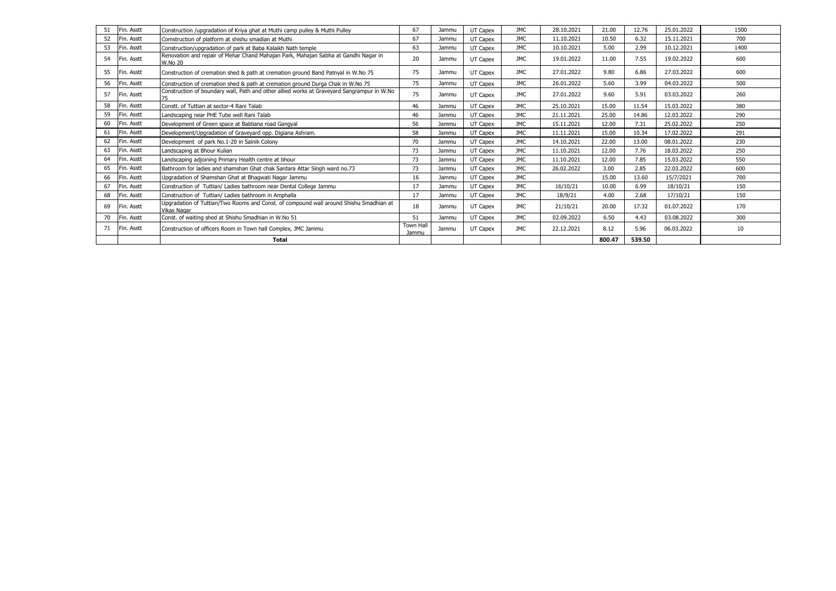| 51 | Fin. Asstt | Construction /upgradation of Kriya ghat at Muthi camp pulley & Muthi Pulley                                  | 67                 | Jammu | UT Capex | <b>JMC</b> | 28.10.2021 | 21.00  | 12.76  | 25.01.2022 | 1500 |
|----|------------|--------------------------------------------------------------------------------------------------------------|--------------------|-------|----------|------------|------------|--------|--------|------------|------|
| 52 | Fin. Asstt | Comstruction of platform at shishu smadian at Muthi                                                          | 67                 | Jammu | UT Capex | <b>JMC</b> | 11.10.2021 | 10.50  | 6.32   | 15.11.2021 | 700  |
| 53 | Fin. Asstt | Construction/upgradation of park at Baba Kalaikh Nath temple                                                 | 63                 | Jammu | UT Capex | <b>JMC</b> | 10.10.2021 | 5.00   | 2.99   | 10.12.2021 | 1400 |
| 54 | Fin. Asstt | Renovation and repair of Mehar Chand Mahajan Park, Mahajan Sabha at Gandhi Nagar in<br><b>W.No 20</b>        | 20                 | Jammu | UT Capex | <b>JMC</b> | 19.01.2022 | 11.00  | 7.55   | 19.02.2022 | 600  |
| 55 | Fin. Asstt | Construction of cremation shed & path at cremation ground Band Patnyal in W.No 75                            | 75                 | Jammu | UT Capex | <b>JMC</b> | 27.01.2022 | 9.80   | 6.86   | 27.03.2022 | 600  |
| 56 | Fin. Asstt | Construction of cremation shed & path at cremation ground Durga Chak in W.No 75                              | 75                 | Jammu | UT Capex | <b>JMC</b> | 26.01.2022 | 5.60   | 3.99   | 04.03.2022 | 500  |
| 57 | Fin. Asstt | Construction of boundary wall, Path and other allied works at Graveyard Sangrampur in W.No                   | 75                 | Jammu | UT Capex | <b>JMC</b> | 27.01.2022 | 9.60   | 5.91   | 03.03.2022 | 260  |
| 58 | Fin. Asstt | Constt. of Tuttian at sector-4 Rani Talab                                                                    | 46                 | Jammu | UT Capex | <b>JMC</b> | 25.10.2021 | 15.00  | 11.54  | 15.03.2022 | 380  |
| 59 | Fin. Asstt | Landscaping near PHE Tube well Rani Talab                                                                    | 46                 | Jammu | UT Capex | <b>JMC</b> | 21.11.2021 | 25.00  | 14.86  | 12.03.2022 | 290  |
| 60 | Fin. Asstt | Development of Green space at Babliana road Gangyal                                                          | 56                 | Jammu | UT Capex | <b>JMC</b> | 15.11.2021 | 12.00  | 7.31   | 25.02.2022 | 250  |
| 61 | Fin. Asstt | Development/Upgradation of Graveyard opp. Digiana Ashram.                                                    | 58                 | Jammu | UT Capex | JMC        | 11.11.2021 | 15.00  | 10.34  | 17.02.2022 | 291  |
| 62 | Fin. Asstt | Development of park No.1-20 in Sainik Colony                                                                 | 70                 | Jammu | UT Capex | <b>JMC</b> | 14.10.2021 | 22.00  | 13.00  | 08.01.2022 | 230  |
| 63 | Fin. Asstt | Landscaping at Bhour Kulian                                                                                  | 73                 | Jammu | UT Capex | <b>JMC</b> | 11.10.2021 | 12.00  | 7.76   | 18.03.2022 | 250  |
| 64 | Fin. Asstt | Landscaping adjoining Primary Health centre at bhour                                                         | 73                 | Jammu | UT Capex | <b>JMC</b> | 11.10.2021 | 12.00  | 7.85   | 15.03.2022 | 550  |
| 65 | Fin. Asstt | Bathroom for ladies and shamshan Ghat chak Sardara Attar Singh ward no.73                                    | 73                 | Jammu | UT Capex | <b>JMC</b> | 26.02.2022 | 3.00   | 2.85   | 22.03.2022 | 600  |
| 66 | Fin. Asstt | Upgradation of Shamshan Ghat at Bhagwati Nagar Jammu                                                         | 16                 | Jammu | UT Capex | <b>JMC</b> |            | 15.00  | 13.60  | 15/7/2021  | 700  |
| 67 | Fin. Asstt | Construction of Tuttian/ Ladies bathroom near Dental College Jammu                                           | 17                 | Jammu | UT Capex | <b>JMC</b> | 16/10/21   | 10.00  | 6.99   | 18/10/21   | 150  |
| 68 | Fin. Asstt | Construction of Tuttian/ Ladies bathroom in Amphalla                                                         | 17                 | Jammu | UT Capex | <b>JMC</b> | 18/9/21    | 4.00   | 2.68   | 17/10/21   | 150  |
| 69 | Fin. Asstt | Upgradation of Tuttian/Two Rooms and Const. of compound wall around Shishu Smadhian at<br><b>Vikas Nagar</b> | 18                 | Jammu | UT Capex | <b>JMC</b> | 21/10/21   | 20.00  | 17.32  | 01.07.2022 | 170  |
| 70 | Fin. Asstt | Const. of waiting shed at Shishu Smadhian in W.No 51                                                         | 51                 | Jammu | UT Capex | <b>JMC</b> | 02.09.2022 | 6.50   | 4.43   | 03.08.2022 | 300  |
| 71 | Fin. Asstt | Construction of officers Room in Town hall Complex, JMC Jammu                                                | Town Hall<br>Jammu | Jammu | UT Capex | <b>JMC</b> | 22.12.2021 | 8.12   | 5.96   | 06.03.2022 | 10   |
|    |            | Total                                                                                                        |                    |       |          |            |            | 800.47 | 539.50 |            |      |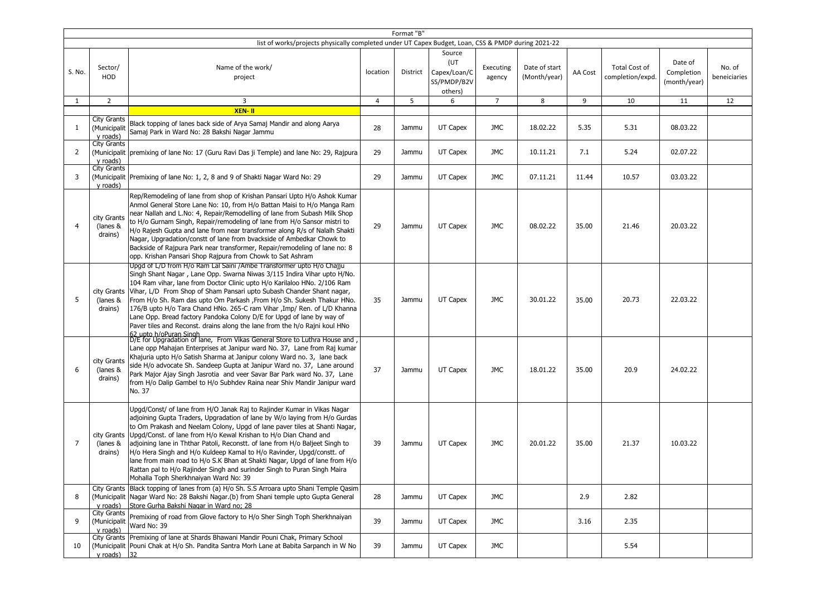|                |                                                                                                              |                                                                                                                                                                                                                                                                                                                                                                                                                                                                                                                                                                                                                                                                                                                                           |          | Format "B" |                                    |                     |                               |         |                                          |                                       |                        |  |
|----------------|--------------------------------------------------------------------------------------------------------------|-------------------------------------------------------------------------------------------------------------------------------------------------------------------------------------------------------------------------------------------------------------------------------------------------------------------------------------------------------------------------------------------------------------------------------------------------------------------------------------------------------------------------------------------------------------------------------------------------------------------------------------------------------------------------------------------------------------------------------------------|----------|------------|------------------------------------|---------------------|-------------------------------|---------|------------------------------------------|---------------------------------------|------------------------|--|
|                | list of works/projects physically completed under UT Capex Budget, Loan, CSS & PMDP during 2021-22<br>Source |                                                                                                                                                                                                                                                                                                                                                                                                                                                                                                                                                                                                                                                                                                                                           |          |            |                                    |                     |                               |         |                                          |                                       |                        |  |
| S. No.         | Sector/<br><b>HOD</b>                                                                                        | Name of the work/<br>project                                                                                                                                                                                                                                                                                                                                                                                                                                                                                                                                                                                                                                                                                                              | location | District   | (UT<br>Capex/Loan/C<br>SS/PMDP/B2V | Executing<br>agency | Date of start<br>(Month/year) | AA Cost | <b>Total Cost of</b><br>completion/expd. | Date of<br>Completion<br>(month/year) | No. of<br>beneiciaries |  |
|                |                                                                                                              |                                                                                                                                                                                                                                                                                                                                                                                                                                                                                                                                                                                                                                                                                                                                           |          |            | others)                            |                     |                               |         |                                          |                                       |                        |  |
| 1              | $\overline{2}$                                                                                               | 3                                                                                                                                                                                                                                                                                                                                                                                                                                                                                                                                                                                                                                                                                                                                         | 4        | 5          | 6                                  | $\overline{7}$      | 8                             | 9       | 10                                       | 11                                    | 12                     |  |
|                |                                                                                                              | XEN-II                                                                                                                                                                                                                                                                                                                                                                                                                                                                                                                                                                                                                                                                                                                                    |          |            |                                    |                     |                               |         |                                          |                                       |                        |  |
| 1              | <b>City Grants</b><br>(Municipalit<br>v roads)<br><b>City Grants</b>                                         | Black topping of lanes back side of Arya Samaj Mandir and along Aarya<br>Samai Park in Ward No: 28 Bakshi Nagar Jammu                                                                                                                                                                                                                                                                                                                                                                                                                                                                                                                                                                                                                     | 28       | Jammu      | UT Capex                           | JMC                 | 18.02.22                      | 5.35    | 5.31                                     | 08.03.22                              |                        |  |
| 2              | y roads)                                                                                                     | (Municipalit   premixing of lane No: 17 (Guru Ravi Das ji Temple) and lane No: 29, Rajpura                                                                                                                                                                                                                                                                                                                                                                                                                                                                                                                                                                                                                                                | 29       | Jammu      | UT Capex                           | JMC                 | 10.11.21                      | 7.1     | 5.24                                     | 02.07.22                              |                        |  |
| 3              | <b>City Grants</b><br>y roads)                                                                               | (Municipalit Premixing of lane No: 1, 2, 8 and 9 of Shakti Nagar Ward No: 29                                                                                                                                                                                                                                                                                                                                                                                                                                                                                                                                                                                                                                                              | 29       | Jammu      | UT Capex                           | JMC                 | 07.11.21                      | 11.44   | 10.57                                    | 03.03.22                              |                        |  |
| $\overline{4}$ | city Grants<br>(lanes &<br>drains)                                                                           | Rep/Remodeling of lane from shop of Krishan Pansari Upto H/o Ashok Kumar<br>Anmol General Store Lane No: 10, from H/o Battan Maisi to H/o Manga Ram<br>near Nallah and L.No: 4, Repair/Remodelling of lane from Subash Milk Shop<br>to H/o Gurnam Singh, Repair/remodeling of lane from H/o Sansor mistri to<br>H/o Rajesh Gupta and lane from near transformer along R/s of Nalalh Shakti<br>Nagar, Upgradation/constt of lane from bvackside of Ambedkar Chowk to<br>Backside of Rajpura Park near transformer, Repair/remodeling of lane no: 8<br>opp. Krishan Pansari Shop Rajpura from Chowk to Sat Ashram                                                                                                                           | 29       | Jammu      | UT Capex                           | <b>JMC</b>          | 08.02.22                      | 35.00   | 21.46                                    | 20.03.22                              |                        |  |
| 5              | (lanes &<br>drains)                                                                                          | Upgd of L/D from H/o Ram Lal Saini /Ambe Transformer upto H/o Chajju<br>Singh Shant Nagar, Lane Opp. Swarna Niwas 3/115 Indira Vihar upto H/No.<br>104 Ram vihar, lane from Doctor Clinic upto H/o Karilaloo HNo. 2/106 Ram<br>city Grants   Vihar, L/D From Shop of Sham Pansari upto Subash Chander Shant nagar,<br>From H/o Sh. Ram das upto Om Parkash , From H/o Sh. Sukesh Thakur HNo.<br>176/B upto H/o Tara Chand HNo. 265-C ram Vihar , Imp/ Ren. of L/D Khanna<br>Lane Opp. Bread factory Pandoka Colony D/E for Upgd of lane by way of<br>Paver tiles and Reconst. drains along the lane from the h/o Rajni koul HNo<br>, 62 upto h/oPuran Singh<br> D/E for Upgradation of lane, From Vikas General Store to Luthra House and | 35       | Jammu      | UT Capex                           | <b>JMC</b>          | 30.01.22                      | 35.00   | 20.73                                    | 22.03.22                              |                        |  |
| 6              | city Grants<br>(lanes &<br>drains)                                                                           | Lane opp Mahajan Enterprises at Janipur ward No. 37, Lane from Raj kumar<br>Khajuria upto H/o Satish Sharma at Janipur colony Ward no. 3, lane back<br>side H/o advocate Sh. Sandeep Gupta at Janipur Ward no. 37, Lane around<br>Park Major Ajay Singh Jasrotia and veer Savar Bar Park ward No. 37, Lane<br>from H/o Dalip Gambel to H/o Subhdev Raina near Shiv Mandir Janipur ward<br>No. 37                                                                                                                                                                                                                                                                                                                                          | 37       | Jammu      | UT Capex                           | JMC                 | 18.01.22                      | 35.00   | 20.9                                     | 24.02.22                              |                        |  |
| $\overline{7}$ | (lanes &<br>drains)                                                                                          | Upgd/Const/ of lane from H/O Janak Raj to Rajinder Kumar in Vikas Nagar<br>adjoining Gupta Traders, Upgradation of lane by W/o laying from H/o Gurdas<br>to Om Prakash and Neelam Colony, Upgd of lane paver tiles at Shanti Nagar,<br>city Grants Upgd/Const. of lane from H/o Kewal Krishan to H/o Dian Chand and<br>adjoining lane in Ththar Patoli, Reconstt. of lane from H/o Baljeet Singh to<br>H/o Hera Singh and H/o Kuldeep Kamal to H/o Ravinder, Upgd/constt. of<br>lane from main road to H/o S.K Bhan at Shakti Nagar, Upgd of lane from H/o<br>Rattan pal to H/o Rajinder Singh and surinder Singh to Puran Singh Maira<br>Mohalla Toph Sherkhnaiyan Ward No: 39                                                           | 39       | Jammu      | UT Capex                           | JMC                 | 20.01.22                      | 35.00   | 21.37                                    | 10.03.22                              |                        |  |
| 8              | y roads)                                                                                                     | City Grants Black topping of lanes from (a) H/o Sh. S.S Arroara upto Shani Temple Qasim<br>(Municipalit Nagar Ward No: 28 Bakshi Nagar.(b) from Shani temple upto Gupta General<br>Store Gurha Bakshi Nagar in Ward no; 28                                                                                                                                                                                                                                                                                                                                                                                                                                                                                                                | 28       | Jammu      | UT Capex                           | JMC                 |                               | 2.9     | 2.82                                     |                                       |                        |  |
| 9              | City Grants<br>(Municipalit<br>y roads)                                                                      | Premixing of road from Glove factory to H/o Sher Singh Toph Sherkhnaiyan<br>Ward No: 39                                                                                                                                                                                                                                                                                                                                                                                                                                                                                                                                                                                                                                                   | 39       | Jammu      | UT Capex                           | JMC                 |                               | 3.16    | 2.35                                     |                                       |                        |  |
| 10             | y roads) $ 32 $                                                                                              | City Grants   Premixing of lane at Shards Bhawani Mandir Pouni Chak, Primary School<br>(Municipalit Pouni Chak at H/o Sh. Pandita Santra Morh Lane at Babita Sarpanch in W No                                                                                                                                                                                                                                                                                                                                                                                                                                                                                                                                                             | 39       | Jammu      | UT Capex                           | JMC                 |                               |         | 5.54                                     |                                       |                        |  |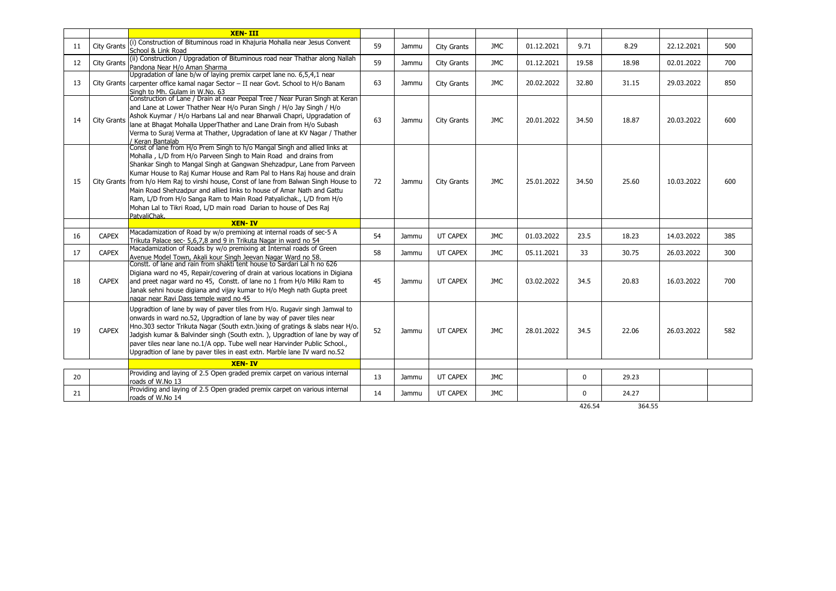|    |                    | <b>XEN-III</b>                                                                                                                                                                                                                                                                                                                                                                                                                                                                                                                                                                                                                   |    |       |                    |            |            |             |       |            |     |
|----|--------------------|----------------------------------------------------------------------------------------------------------------------------------------------------------------------------------------------------------------------------------------------------------------------------------------------------------------------------------------------------------------------------------------------------------------------------------------------------------------------------------------------------------------------------------------------------------------------------------------------------------------------------------|----|-------|--------------------|------------|------------|-------------|-------|------------|-----|
| 11 | City Grants        | (i) Construction of Bituminous road in Khajuria Mohalla near Jesus Convent<br>School & Link Road                                                                                                                                                                                                                                                                                                                                                                                                                                                                                                                                 | 59 | Jammu | <b>City Grants</b> | <b>JMC</b> | 01.12.2021 | 9.71        | 8.29  | 22.12.2021 | 500 |
| 12 | City Grants        | (ii) Construction / Upgradation of Bituminous road near Thathar along Nallah<br>Pandona Near H/o Aman Sharma                                                                                                                                                                                                                                                                                                                                                                                                                                                                                                                     | 59 | Jammu | City Grants        | <b>JMC</b> | 01.12.2021 | 19.58       | 18.98 | 02.01.2022 | 700 |
| 13 |                    | Upgradation of lane b/w of laying premix carpet lane no. 6,5,4,1 near<br>City Grants carpenter office kamal nagar Sector - II near Govt. School to H/o Banam<br>Singh to Mh. Gulam in W.No. 63                                                                                                                                                                                                                                                                                                                                                                                                                                   | 63 | Jammu | <b>City Grants</b> | <b>JMC</b> | 20.02.2022 | 32.80       | 31.15 | 29.03.2022 | 850 |
| 14 | <b>City Grants</b> | Construction of Lane / Drain at near Peepal Tree / Near Puran Singh at Keran<br>and Lane at Lower Thather Near H/o Puran Singh / H/o Jay Singh / H/o<br>Ashok Kuymar / H/o Harbans Lal and near Bharwali Chapri, Upgradation of<br>lane at Bhagat Mohalla UpperThather and Lane Drain from H/o Subash<br>Verma to Suraj Verma at Thather, Upgradation of lane at KV Nagar / Thather<br>/ Keran Bantalab                                                                                                                                                                                                                          | 63 | Jammu | <b>City Grants</b> | JMC.       | 20.01.2022 | 34.50       | 18.87 | 20.03.2022 | 600 |
| 15 |                    | Const of lane from H/o Prem Singh to h/o Mangal Singh and allied links at<br>Mohalla, L/D from H/o Parveen Singh to Main Road and drains from<br>Shankar Singh to Mangal Singh at Gangwan Shehzadpur, Lane from Parveen<br>Kumar House to Raj Kumar House and Ram Pal to Hans Raj house and drain<br>City Grants from h/o Hem Raj to virshi house, Const of lane from Balwan Singh House to<br>Main Road Shehzadpur and allied links to house of Amar Nath and Gattu<br>Ram, L/D from H/o Sanga Ram to Main Road Patyalichak., L/D from H/o<br>Mohan Lal to Tikri Road, L/D main road Darian to house of Des Raj<br>PatvaliChak. | 72 | Jammu | <b>City Grants</b> | <b>JMC</b> | 25.01.2022 | 34.50       | 25.60 | 10.03.2022 | 600 |
|    |                    |                                                                                                                                                                                                                                                                                                                                                                                                                                                                                                                                                                                                                                  |    |       |                    |            |            |             |       |            |     |
|    |                    | <b>XEN-IV</b>                                                                                                                                                                                                                                                                                                                                                                                                                                                                                                                                                                                                                    |    |       |                    |            |            |             |       |            |     |
| 16 | <b>CAPEX</b>       | Macadamization of Road by w/o premixing at internal roads of sec-5 A<br>Trikuta Palace sec- 5,6,7,8 and 9 in Trikuta Nagar in ward no 54                                                                                                                                                                                                                                                                                                                                                                                                                                                                                         | 54 | Jammu | UT CAPEX           | <b>JMC</b> | 01.03.2022 | 23.5        | 18.23 | 14.03.2022 | 385 |
| 17 | <b>CAPEX</b>       | Macadamization of Roads by w/o premixing at Internal roads of Green                                                                                                                                                                                                                                                                                                                                                                                                                                                                                                                                                              | 58 | Jammu | UT CAPEX           | <b>JMC</b> | 05.11.2021 | 33          | 30.75 | 26.03.2022 | 300 |
| 18 | <b>CAPEX</b>       | Avenue Model Town, Akali kour Singh Jeevan Nagar Ward no 58.<br>Constt. of lane and rain from shakti tent house to Sardari Lal h no 626<br>Digiana ward no 45, Repair/covering of drain at various locations in Digiana<br>and preet nagar ward no 45, Constt. of lane no 1 from H/o Milki Ram to<br>Janak sehni house digiana and vijay kumar to H/o Megh nath Gupta preet<br>nagar near Ravi Dass temple ward no 45                                                                                                                                                                                                            | 45 | Jammu | UT CAPEX           | <b>JMC</b> | 03.02.2022 | 34.5        | 20.83 | 16.03.2022 | 700 |
| 19 | <b>CAPEX</b>       | Upgradtion of lane by way of paver tiles from H/o. Rugavir singh Jamwal to<br>onwards in ward no.52, Upgradtion of lane by way of paver tiles near<br>Hno.303 sector Trikuta Nagar (South extn.) ixing of gratings & slabs near H/o.<br>Jadgish kumar & Balvinder singh (South extn.), Upgradtion of lane by way of<br>paver tiles near lane no.1/A opp. Tube well near Harvinder Public School.,<br>Upgradtion of lane by paver tiles in east extn. Marble lane IV ward no.52                                                                                                                                                   | 52 | Jammu | UT CAPEX           | <b>JMC</b> | 28.01.2022 | 34.5        | 22.06 | 26.03.2022 | 582 |
|    |                    | <b>XEN-IV</b>                                                                                                                                                                                                                                                                                                                                                                                                                                                                                                                                                                                                                    |    |       |                    |            |            |             |       |            |     |
| 20 |                    | Providing and laying of 2.5 Open graded premix carpet on various internal<br>roads of W.No 13                                                                                                                                                                                                                                                                                                                                                                                                                                                                                                                                    | 13 | Jammu | UT CAPEX           | <b>JMC</b> |            | $\mathbf 0$ | 29.23 |            |     |
| 21 |                    | Providing and laying of 2.5 Open graded premix carpet on various internal<br>roads of W.No 14                                                                                                                                                                                                                                                                                                                                                                                                                                                                                                                                    | 14 | Jammu | UT CAPEX           | <b>JMC</b> |            | $\mathbf 0$ | 24.27 |            |     |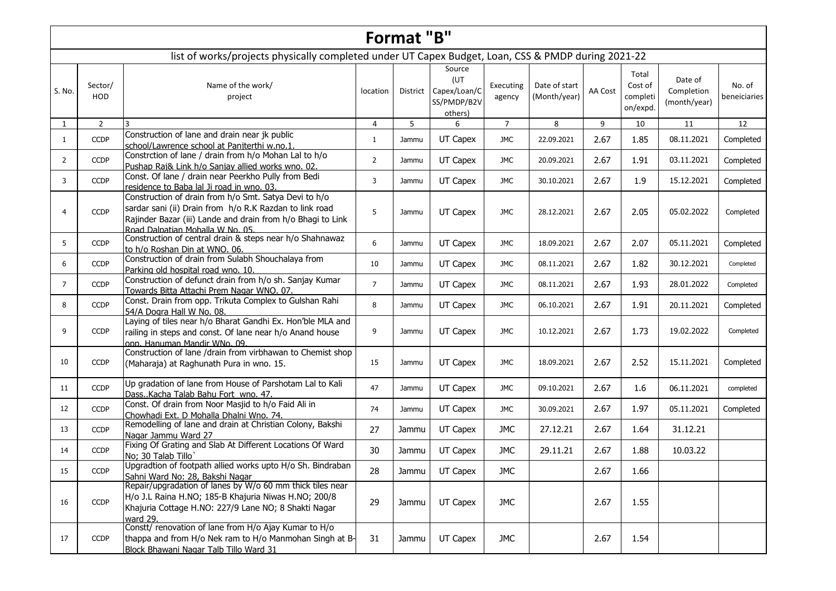|                |                                                                                                                                                                                                                                        |                                                                                                                                                                                                                     |                | Format "B" |                                        |                |              |         |                      |                            |              |  |  |  |  |
|----------------|----------------------------------------------------------------------------------------------------------------------------------------------------------------------------------------------------------------------------------------|---------------------------------------------------------------------------------------------------------------------------------------------------------------------------------------------------------------------|----------------|------------|----------------------------------------|----------------|--------------|---------|----------------------|----------------------------|--------------|--|--|--|--|
|                | list of works/projects physically completed under UT Capex Budget, Loan, CSS & PMDP during 2021-22<br>Source<br>Total<br>(UT<br>Date of<br>Cost of<br>Name of the work/<br>Sector/<br>Executing<br>Date of start<br>No. of<br>location |                                                                                                                                                                                                                     |                |            |                                        |                |              |         |                      |                            |              |  |  |  |  |
| S. No.         | HOD                                                                                                                                                                                                                                    | project                                                                                                                                                                                                             |                | District   | Capex/Loan/C<br>SS/PMDP/B2V<br>others) | agency         | (Month/year) | AA Cost | completi<br>on/expd. | Completion<br>(month/year) | beneiciaries |  |  |  |  |
| $\mathbf{1}$   | $\overline{2}$                                                                                                                                                                                                                         | 3                                                                                                                                                                                                                   | $\overline{4}$ | 5          | 6                                      | $\overline{7}$ | 8            | 9       | 10                   | 11                         | 12           |  |  |  |  |
| $\mathbf{1}$   | <b>CCDP</b>                                                                                                                                                                                                                            | Construction of lane and drain near jk public<br>school/Lawrence school at Panjterthi w.no.1                                                                                                                        | $\mathbf{1}$   | Jammu      | UT Capex                               | <b>JMC</b>     | 22.09.2021   | 2.67    | 1.85                 | 08.11.2021                 | Completed    |  |  |  |  |
| $\overline{2}$ | <b>CCDP</b>                                                                                                                                                                                                                            | Constrction of lane / drain from h/o Mohan Lal to h/o<br>Pushap Raj& Link h/o Sanjay allied works wno. 02.                                                                                                          | $\overline{2}$ | Jammu      | UT Capex                               | <b>JMC</b>     | 20.09.2021   | 2.67    | 1.91                 | 03.11.2021                 | Completed    |  |  |  |  |
| 3              | <b>CCDP</b>                                                                                                                                                                                                                            | Const. Of lane / drain near Peerkho Pully from Bedi<br>residence to Baba lal Ji road in wno. 03.                                                                                                                    | 3              | Jammu      | UT Capex                               | <b>JMC</b>     | 30.10.2021   | 2.67    | 1.9                  | 15.12.2021                 | Completed    |  |  |  |  |
| $\overline{4}$ | <b>CCDP</b>                                                                                                                                                                                                                            | Construction of drain from h/o Smt. Satya Devi to h/o<br>sardar sani (ii) Drain from h/o R.K Razdan to link road<br>Rajinder Bazar (iii) Lande and drain from h/o Bhagi to Link<br>Road Dalpatian Mohalla W No. 05. | 5              | Jammu      | UT Capex                               | JMC            | 28.12.2021   | 2.67    | 2.05                 | 05.02.2022                 | Completed    |  |  |  |  |
| 5              | <b>CCDP</b>                                                                                                                                                                                                                            | Construction of central drain & steps near h/o Shahnawaz<br>to h/o Roshan Din at WNO. 06.                                                                                                                           | 6              | Jammu      | UT Capex                               | JMC            | 18.09.2021   | 2.67    | 2.07                 | 05.11.2021                 | Completed    |  |  |  |  |
| 6              | <b>CCDP</b>                                                                                                                                                                                                                            | Construction of drain from Sulabh Shouchalaya from<br>Parking old hospital road wno. 10.                                                                                                                            | 10             | Jammu      | UT Capex                               | <b>JMC</b>     | 08.11.2021   | 2.67    | 1.82                 | 30.12.2021                 | Completed    |  |  |  |  |
| $\overline{7}$ | <b>CCDP</b>                                                                                                                                                                                                                            | Construction of defunct drain from h/o sh. Sanjay Kumar<br>Towards Bitta Attachi Prem Nagar WNO. 07.                                                                                                                | $\overline{7}$ | Jammu      | UT Capex                               | <b>JMC</b>     | 08.11.2021   | 2.67    | 1.93                 | 28.01.2022                 | Completed    |  |  |  |  |
| 8              | <b>CCDP</b>                                                                                                                                                                                                                            | Const. Drain from opp. Trikuta Complex to Gulshan Rahi<br>54/A Dogra Hall W No. 08.                                                                                                                                 | 8              | Jammu      | UT Capex                               | <b>JMC</b>     | 06.10.2021   | 2.67    | 1.91                 | 20.11.2021                 | Completed    |  |  |  |  |
| 9              | <b>CCDP</b>                                                                                                                                                                                                                            | Laying of tiles near h/o Bharat Gandhi Ex. Hon'ble MLA and<br>railing in steps and const. Of lane near h/o Anand house<br>opp. Hanuman Mandir WNo. 09.                                                              | 9              | Jammu      | UT Capex                               | JMC            | 10.12.2021   | 2.67    | 1.73                 | 19.02.2022                 | Completed    |  |  |  |  |
| 10             | <b>CCDP</b>                                                                                                                                                                                                                            | Construction of lane /drain from virbhawan to Chemist shop<br>(Maharaja) at Raghunath Pura in wno. 15.                                                                                                              | 15             | Jammu      | UT Capex                               | <b>JMC</b>     | 18.09.2021   | 2.67    | 2.52                 | 15.11.2021                 | Completed    |  |  |  |  |
| 11             | <b>CCDP</b>                                                                                                                                                                                                                            | Up gradation of lane from House of Parshotam Lal to Kali<br>DassKacha Talab Bahu Fort wno. 47.                                                                                                                      | 47             | Jammu      | UT Capex                               | <b>JMC</b>     | 09.10.2021   | 2.67    | 1.6                  | 06.11.2021                 | completed    |  |  |  |  |
| 12             | <b>CCDP</b>                                                                                                                                                                                                                            | Const. Of drain from Noor Masjid to h/o Faid Ali in<br>Chowhadi Ext. D Mohalla Dhalni Wno. 74.                                                                                                                      | 74             | Jammu      | UT Capex                               | <b>JMC</b>     | 30.09.2021   | 2.67    | 1.97                 | 05.11.2021                 | Completed    |  |  |  |  |
| 13             | <b>CCDP</b>                                                                                                                                                                                                                            | Remodelling of lane and drain at Christian Colony, Bakshi<br>Nagar Jammu Ward 27                                                                                                                                    | 27             | Jammu      | UT Capex                               | <b>JMC</b>     | 27.12.21     | 2.67    | 1.64                 | 31.12.21                   |              |  |  |  |  |
| 14             | <b>CCDP</b>                                                                                                                                                                                                                            | Fixing Of Grating and Slab At Different Locations Of Ward<br>No; 30 Talab Tillo                                                                                                                                     | 30             | Jammu      | UT Capex                               | <b>JMC</b>     | 29.11.21     | 2.67    | 1.88                 | 10.03.22                   |              |  |  |  |  |
| 15             | <b>CCDP</b>                                                                                                                                                                                                                            | Upgradtion of footpath allied works upto H/o Sh. Bindraban<br>Sahni Ward No: 28, Bakshi Nagar                                                                                                                       | 28             | Jammu      | UT Capex                               | <b>JMC</b>     |              | 2.67    | 1.66                 |                            |              |  |  |  |  |
| 16             | <b>CCDP</b>                                                                                                                                                                                                                            | Repair/upgradation of lanes by W/o 60 mm thick tiles near<br>H/o J.L Raina H.NO; 185-B Khajuria Niwas H.NO; 200/8<br>Khajuria Cottage H.NO: 227/9 Lane NO; 8 Shakti Nagar<br>ward 29.                               | 29             | Jammu      | UT Capex                               | <b>JMC</b>     |              | 2.67    | 1.55                 |                            |              |  |  |  |  |
| 17             | <b>CCDP</b>                                                                                                                                                                                                                            | Constt/ renovation of lane from H/o Ajay Kumar to H/o<br>thappa and from H/o Nek ram to H/o Manmohan Singh at B-<br>Block Bhawani Nagar Talb Tillo Ward 31                                                          | 31             | Jammu      | UT Capex                               | <b>JMC</b>     |              | 2.67    | 1.54                 |                            |              |  |  |  |  |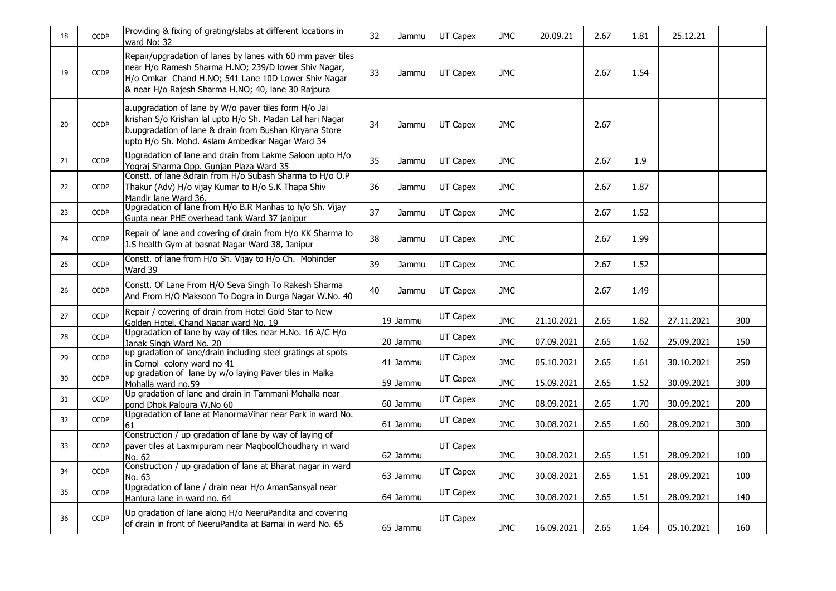| 18 | <b>CCDP</b> | Providing & fixing of grating/slabs at different locations in<br>ward No: 32                                                                                                                                                     | 32 | Jammu    | UT Capex | <b>JMC</b> | 20.09.21   | 2.67 | 1.81 | 25.12.21   |     |
|----|-------------|----------------------------------------------------------------------------------------------------------------------------------------------------------------------------------------------------------------------------------|----|----------|----------|------------|------------|------|------|------------|-----|
| 19 | <b>CCDP</b> | Repair/upgradation of lanes by lanes with 60 mm paver tiles<br>near H/o Ramesh Sharma H.NO; 239/D lower Shiv Nagar,<br>H/o Omkar Chand H.NO; 541 Lane 10D Lower Shiv Nagar<br>& near H/o Rajesh Sharma H.NO; 40, lane 30 Rajpura | 33 | Jammu    | UT Capex | <b>JMC</b> |            | 2.67 | 1.54 |            |     |
| 20 | <b>CCDP</b> | a.upgradation of lane by W/o paver tiles form H/o Jai<br>krishan S/o Krishan lal upto H/o Sh. Madan Lal hari Nagar<br>b.upgradation of lane & drain from Bushan Kiryana Store<br>upto H/o Sh. Mohd. Aslam Ambedkar Nagar Ward 34 | 34 | Jammu    | UT Capex | <b>JMC</b> |            | 2.67 |      |            |     |
| 21 | <b>CCDP</b> | Upgradation of lane and drain from Lakme Saloon upto H/o<br>Yograj Sharma Opp. Gunjan Plaza Ward 35                                                                                                                              | 35 | Jammu    | UT Capex | <b>JMC</b> |            | 2.67 | 1.9  |            |     |
| 22 | <b>CCDP</b> | Constt. of lane & drain from H/o Subash Sharma to H/o O.P<br>Thakur (Adv) H/o vijay Kumar to H/o S.K Thapa Shiv<br>Mandir lane Ward 36.                                                                                          | 36 | Jammu    | UT Capex | <b>JMC</b> |            | 2.67 | 1.87 |            |     |
| 23 | <b>CCDP</b> | Upgradation of lane from H/o B.R Manhas to h/o Sh. Vijay<br>Gupta near PHE overhead tank Ward 37 janipur                                                                                                                         | 37 | Jammu    | UT Capex | <b>JMC</b> |            | 2.67 | 1.52 |            |     |
| 24 | <b>CCDP</b> | Repair of lane and covering of drain from H/o KK Sharma to<br>J.S health Gym at basnat Nagar Ward 38, Janipur                                                                                                                    | 38 | Jammu    | UT Capex | <b>JMC</b> |            | 2.67 | 1.99 |            |     |
| 25 | <b>CCDP</b> | Constt. of lane from H/o Sh. Vijay to H/o Ch. Mohinder<br>Ward 39                                                                                                                                                                | 39 | Jammu    | UT Capex | <b>JMC</b> |            | 2.67 | 1.52 |            |     |
| 26 | <b>CCDP</b> | Constt. Of Lane From H/O Seva Singh To Rakesh Sharma<br>And From H/O Maksoon To Dogra in Durga Nagar W.No. 40                                                                                                                    | 40 | Jammu    | UT Capex | JMC        |            | 2.67 | 1.49 |            |     |
| 27 | <b>CCDP</b> | Repair / covering of drain from Hotel Gold Star to New<br>Golden Hotel, Chand Nagar ward No. 19                                                                                                                                  |    | 19 Jammu | UT Capex | <b>JMC</b> | 21.10.2021 | 2.65 | 1.82 | 27.11.2021 | 300 |
| 28 | <b>CCDP</b> | Upgradation of lane by way of tiles near H.No. 16 A/C H/o<br>Janak Singh Ward No. 20                                                                                                                                             |    | 20 Jammu | UT Capex | <b>JMC</b> | 07.09.2021 | 2.65 | 1.62 | 25.09.2021 | 150 |
| 29 | <b>CCDP</b> | up gradation of lane/drain including steel gratings at spots<br>in Cornol colony ward no 41                                                                                                                                      |    | 41 Jammu | UT Capex | <b>JMC</b> | 05.10.2021 | 2.65 | 1.61 | 30.10.2021 | 250 |
| 30 | <b>CCDP</b> | up gradation of lane by w/o laying Paver tiles in Malka<br>Mohalla ward no.59                                                                                                                                                    |    | 59 Jammu | UT Capex | <b>JMC</b> | 15.09.2021 | 2.65 | 1.52 | 30.09.2021 | 300 |
| 31 | <b>CCDP</b> | Up gradation of lane and drain in Tammani Mohalla near<br>pond Dhok Paloura W.No 60                                                                                                                                              |    | 60 Jammu | UT Capex | <b>JMC</b> | 08.09.2021 | 2.65 | 1.70 | 30.09.2021 | 200 |
| 32 | <b>CCDP</b> | Upgradation of lane at ManormaVihar near Park in ward No.<br>61                                                                                                                                                                  |    | 61 Jammu | UT Capex | <b>JMC</b> | 30.08.2021 | 2.65 | 1.60 | 28.09.2021 | 300 |
| 33 | <b>CCDP</b> | Construction / up gradation of lane by way of laying of<br>paver tiles at Laxmipuram near MaqboolChoudhary in ward<br>No. 62                                                                                                     |    | 62 Jammu | UT Capex | <b>JMC</b> | 30.08.2021 | 2.65 | 1.51 | 28.09.2021 | 100 |
| 34 | <b>CCDP</b> | Construction / up gradation of lane at Bharat nagar in ward<br>No. 63                                                                                                                                                            |    | 63 Jammu | UT Capex | <b>JMC</b> | 30.08.2021 | 2.65 | 1.51 | 28.09.2021 | 100 |
| 35 | <b>CCDP</b> | Upgradation of lane / drain near H/o AmanSansyal near<br>Hanjura lane in ward no. 64                                                                                                                                             |    | 64 Jammu | UT Capex | <b>JMC</b> | 30.08.2021 | 2.65 | 1.51 | 28.09.2021 | 140 |
| 36 | <b>CCDP</b> | Up gradation of lane along H/o NeeruPandita and covering<br>of drain in front of NeeruPandita at Barnai in ward No. 65                                                                                                           |    | 65 Jammu | UT Capex | <b>JMC</b> | 16.09.2021 | 2.65 | 1.64 | 05.10.2021 | 160 |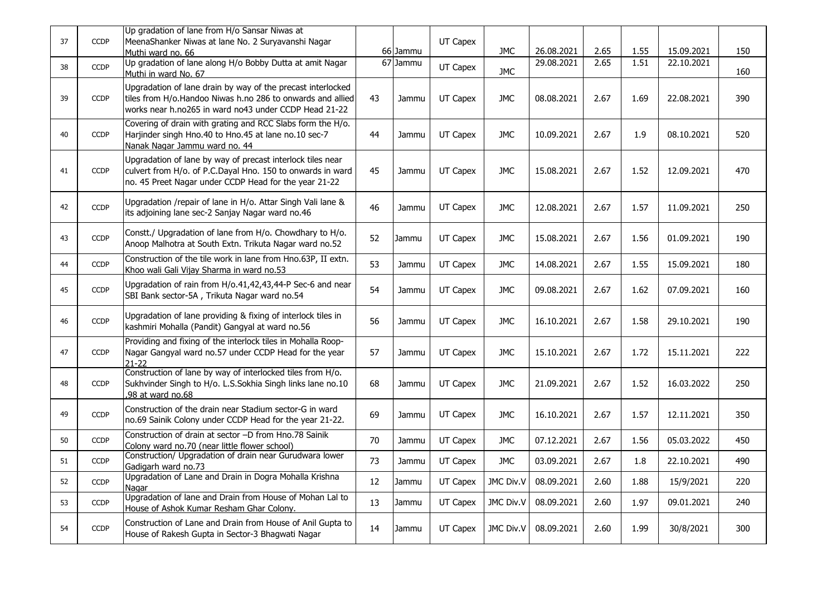| 37 | <b>CCDP</b> | Up gradation of lane from H/o Sansar Niwas at<br>MeenaShanker Niwas at lane No. 2 Suryavanshi Nagar<br>Muthi ward no. 66                                                           |    | 66 Jammu | UT Capex | <b>JMC</b> | 26.08.2021 | 2.65 | 1.55 | 15.09.2021 | 150 |
|----|-------------|------------------------------------------------------------------------------------------------------------------------------------------------------------------------------------|----|----------|----------|------------|------------|------|------|------------|-----|
| 38 | <b>CCDP</b> | Up gradation of lane along H/o Bobby Dutta at amit Nagar<br>Muthi in ward No. 67                                                                                                   |    | 67 Jammu | UT Capex | <b>JMC</b> | 29.08.2021 | 2.65 | 1.51 | 22.10.2021 | 160 |
| 39 | <b>CCDP</b> | Upgradation of lane drain by way of the precast interlocked<br>tiles from H/o.Handoo Niwas h.no 286 to onwards and allied<br>works near h.no265 in ward no43 under CCDP Head 21-22 | 43 | Jammu    | UT Capex | <b>JMC</b> | 08.08.2021 | 2.67 | 1.69 | 22.08.2021 | 390 |
| 40 | <b>CCDP</b> | Covering of drain with grating and RCC Slabs form the H/o.<br>Harjinder singh Hno.40 to Hno.45 at lane no.10 sec-7<br>Nanak Nagar Jammu ward no. 44                                | 44 | Jammu    | UT Capex | <b>JMC</b> | 10.09.2021 | 2.67 | 1.9  | 08.10.2021 | 520 |
| 41 | <b>CCDP</b> | Upgradation of lane by way of precast interlock tiles near<br>culvert from H/o. of P.C.Dayal Hno. 150 to onwards in ward<br>no. 45 Preet Nagar under CCDP Head for the year 21-22  | 45 | Jammu    | UT Capex | <b>JMC</b> | 15.08.2021 | 2.67 | 1.52 | 12.09.2021 | 470 |
| 42 | <b>CCDP</b> | Upgradation / repair of lane in H/o. Attar Singh Vali lane &<br>its adjoining lane sec-2 Sanjay Nagar ward no.46                                                                   | 46 | Jammu    | UT Capex | <b>JMC</b> | 12.08.2021 | 2.67 | 1.57 | 11.09.2021 | 250 |
| 43 | <b>CCDP</b> | Constt./ Upgradation of lane from H/o. Chowdhary to H/o.<br>Anoop Malhotra at South Extn. Trikuta Nagar ward no.52                                                                 | 52 | Jammu    | UT Capex | <b>JMC</b> | 15.08.2021 | 2.67 | 1.56 | 01.09.2021 | 190 |
| 44 | <b>CCDP</b> | Construction of the tile work in lane from Hno.63P, II extn.<br>Khoo wali Gali Vijay Sharma in ward no.53                                                                          | 53 | Jammu    | UT Capex | <b>JMC</b> | 14.08.2021 | 2.67 | 1.55 | 15.09.2021 | 180 |
| 45 | <b>CCDP</b> | Upgradation of rain from H/o.41,42,43,44-P Sec-6 and near<br>SBI Bank sector-5A, Trikuta Nagar ward no.54                                                                          | 54 | Jammu    | UT Capex | <b>JMC</b> | 09.08.2021 | 2.67 | 1.62 | 07.09.2021 | 160 |
| 46 | <b>CCDP</b> | Upgradation of lane providing & fixing of interlock tiles in<br>kashmiri Mohalla (Pandit) Gangyal at ward no.56                                                                    | 56 | Jammu    | UT Capex | <b>JMC</b> | 16.10.2021 | 2.67 | 1.58 | 29.10.2021 | 190 |
| 47 | <b>CCDP</b> | Providing and fixing of the interlock tiles in Mohalla Roop-<br>Nagar Gangyal ward no.57 under CCDP Head for the year<br>$21 - 22$                                                 | 57 | Jammu    | UT Capex | <b>JMC</b> | 15.10.2021 | 2.67 | 1.72 | 15.11.2021 | 222 |
| 48 | <b>CCDP</b> | Construction of lane by way of interlocked tiles from H/o.<br>Sukhvinder Singh to H/o. L.S.Sokhia Singh links lane no.10<br>,98 at ward no.68                                      | 68 | Jammu    | UT Capex | <b>JMC</b> | 21.09.2021 | 2.67 | 1.52 | 16.03.2022 | 250 |
| 49 | <b>CCDP</b> | Construction of the drain near Stadium sector-G in ward<br>no.69 Sainik Colony under CCDP Head for the year 21-22.                                                                 | 69 | Jammu    | UT Capex | <b>JMC</b> | 16.10.2021 | 2.67 | 1.57 | 12.11.2021 | 350 |
| 50 | <b>CCDP</b> | Construction of drain at sector -D from Hno.78 Sainik<br>Colony ward no.70 (near little flower school)                                                                             | 70 | Jammu    | UT Capex | <b>JMC</b> | 07.12.2021 | 2.67 | 1.56 | 05.03.2022 | 450 |
| 51 | <b>CCDP</b> | Construction/ Upgradation of drain near Gurudwara lower<br>Gadigarh ward no.73                                                                                                     | 73 | Jammu    | UT Capex | <b>JMC</b> | 03.09.2021 | 2.67 | 1.8  | 22.10.2021 | 490 |
| 52 | <b>CCDP</b> | Upgradation of Lane and Drain in Dogra Mohalla Krishna<br>Nagar                                                                                                                    | 12 | Jammu    | UT Capex | JMC Div.V  | 08.09.2021 | 2.60 | 1.88 | 15/9/2021  | 220 |
| 53 | <b>CCDP</b> | Upgradation of lane and Drain from House of Mohan Lal to<br>House of Ashok Kumar Resham Ghar Colony.                                                                               | 13 | Jammu    | UT Capex | JMC Div.V  | 08.09.2021 | 2.60 | 1.97 | 09.01.2021 | 240 |
| 54 | <b>CCDP</b> | Construction of Lane and Drain from House of Anil Gupta to<br>House of Rakesh Gupta in Sector-3 Bhagwati Nagar                                                                     | 14 | Jammu    | UT Capex | JMC Div.V  | 08.09.2021 | 2.60 | 1.99 | 30/8/2021  | 300 |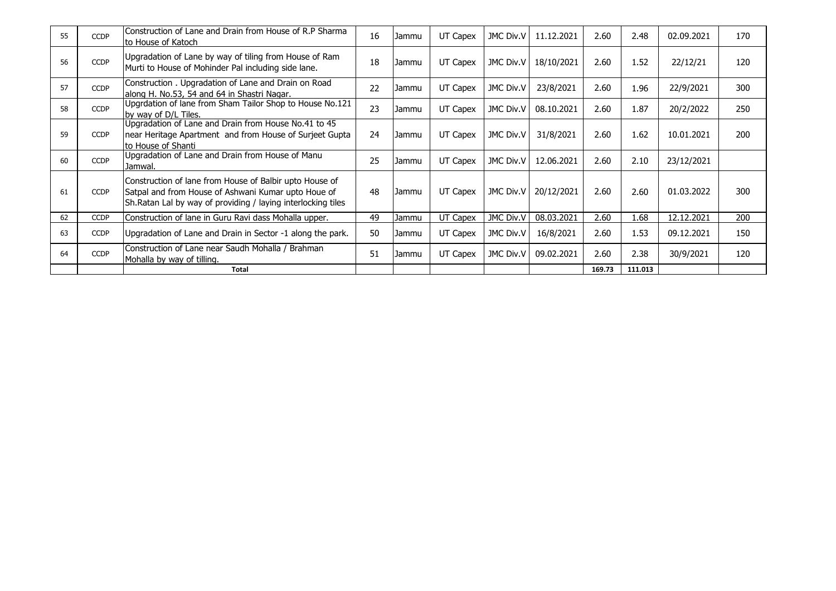| 55 | <b>CCDP</b> | Construction of Lane and Drain from House of R.P Sharma<br>lto House of Katoch                                                                                                  | 16 | Jammu   | UT Capex | JMC Div.V        | 11.12.2021 | 2.60   | 2.48    | 02.09.2021 | 170 |
|----|-------------|---------------------------------------------------------------------------------------------------------------------------------------------------------------------------------|----|---------|----------|------------------|------------|--------|---------|------------|-----|
| 56 | <b>CCDP</b> | Upgradation of Lane by way of tiling from House of Ram<br>Murti to House of Mohinder Pal including side lane.                                                                   | 18 | Jammu   | UT Capex | <b>JMC Div.V</b> | 18/10/2021 | 2.60   | 1.52    | 22/12/21   | 120 |
| 57 | <b>CCDP</b> | Construction . Upgradation of Lane and Drain on Road<br>along H. No.53, 54 and 64 in Shastri Nagar.                                                                             | 22 | Jammu   | UT Capex | JMC Div.V        | 23/8/2021  | 2.60   | 1.96    | 22/9/2021  | 300 |
| 58 | <b>CCDP</b> | Upgrdation of lane from Sham Tailor Shop to House No.121<br>by way of D/L Tiles.                                                                                                | 23 | Jammu   | UT Capex | JMC Div.V        | 08.10.2021 | 2.60   | 1.87    | 20/2/2022  | 250 |
| 59 | <b>CCDP</b> | Upgradation of Lane and Drain from House No.41 to 45<br>near Heritage Apartment and from House of Surjeet Gupta<br>to House of Shanti                                           | 24 | Jammu   | UT Capex | JMC Div.V        | 31/8/2021  | 2.60   | 1.62    | 10.01.2021 | 200 |
| 60 | <b>CCDP</b> | Upgradation of Lane and Drain from House of Manu<br>Jamwal.                                                                                                                     | 25 | Jammu   | UT Capex | JMC Div.V        | 12.06.2021 | 2.60   | 2.10    | 23/12/2021 |     |
| 61 | <b>CCDP</b> | Construction of lane from House of Balbir upto House of<br>Satpal and from House of Ashwani Kumar upto Houe of<br>Sh. Ratan Lal by way of providing / laying interlocking tiles | 48 | l Jammu | UT Capex | <b>JMC Div.V</b> | 20/12/2021 | 2.60   | 2.60    | 01.03.2022 | 300 |
| 62 | <b>CCDP</b> | Construction of lane in Guru Ravi dass Mohalla upper.                                                                                                                           | 49 | Jammu   | UT Capex | JMC Div.V        | 08.03.2021 | 2.60   | 1.68    | 12.12.2021 | 200 |
| 63 | <b>CCDP</b> | Upgradation of Lane and Drain in Sector -1 along the park.                                                                                                                      | 50 | Jammu   | UT Capex | JMC Div.V        | 16/8/2021  | 2.60   | 1.53    | 09.12.2021 | 150 |
| 64 | <b>CCDP</b> | Construction of Lane near Saudh Mohalla / Brahman<br>Mohalla by way of tilling.                                                                                                 | 51 | Jammu   | UT Capex | JMC Div.V        | 09.02.2021 | 2.60   | 2.38    | 30/9/2021  | 120 |
|    |             | <b>Total</b>                                                                                                                                                                    |    |         |          |                  |            | 169.73 | 111.013 |            |     |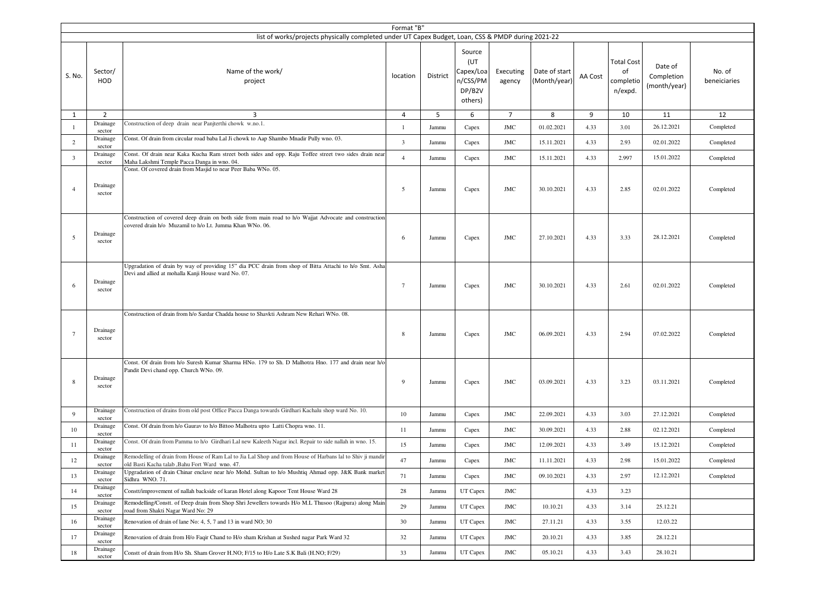|                         |                    | list of works/projects physically completed under UT Capex Budget, Loan, CSS & PMDP during 2021-22                                                                 | Format "B"     |          |                                                             |                     |                               |         |                                                 |                                       |                        |
|-------------------------|--------------------|--------------------------------------------------------------------------------------------------------------------------------------------------------------------|----------------|----------|-------------------------------------------------------------|---------------------|-------------------------------|---------|-------------------------------------------------|---------------------------------------|------------------------|
| S. No.                  | Sector/<br>HOD     | Name of the work/<br>project                                                                                                                                       | location       | District | Source<br>(UT<br>Capex/Loa<br>n/CSS/PM<br>DP/B2V<br>others) | Executing<br>agency | Date of start<br>(Month/year) | AA Cost | <b>Total Cost</b><br>of<br>completio<br>n/expd. | Date of<br>Completion<br>(month/year) | No. of<br>beneiciaries |
| $\mathbf{1}$            | $\overline{2}$     | 3                                                                                                                                                                  | $\overline{4}$ | 5        | 6                                                           | $\overline{7}$      | 8                             | 9       | 10                                              | 11                                    | 12                     |
| $\overline{1}$          | Drainage<br>sector | Construction of deep drain near Panjterthi chowk w.no.1.                                                                                                           | $\mathbf{1}$   | Jammu    | Capex                                                       | JMC                 | 01.02.2021                    | 4.33    | 3.01                                            | 26.12.2021                            | Completed              |
| $\overline{c}$          | Drainage<br>sector | Const. Of drain from circular road baba Lal Ji chowk to Aap Shambo Mnadir Pully wno. 03.                                                                           | $\overline{3}$ | Jammu    | Capex                                                       | <b>JMC</b>          | 15.11.2021                    | 4.33    | 2.93                                            | 02.01.2022                            | Completed              |
| $\overline{\mathbf{3}}$ | Drainage<br>sector | Const. Of drain near Kaka Kucha Ram street both sides and opp. Raju Toffee street two sides drain near<br>Maha Lakshmi Temple Pacca Danga in wno. 04.              | $\overline{4}$ | Jammu    | Capex                                                       | <b>JMC</b>          | 15.11.2021                    | 4.33    | 2.997                                           | 15.01.2022                            | Completed              |
| $\overline{4}$          | Drainage<br>sector | Const. Of covered drain from Masjid to near Peer Baba WNo. 05.                                                                                                     | 5              | Jammu    | Capex                                                       | JMC                 | 30.10.2021                    | 4.33    | 2.85                                            | 02.01.2022                            | Completed              |
| 5                       | Drainage<br>sector | Construction of covered deep drain on both side from main road to h/o Wajjat Advocate and construction<br>covered drain h/o Muzamil to h/o Lt. Jumma Khan WNo. 06. | 6              | Jammu    | Capex                                                       | <b>JMC</b>          | 27.10.2021                    | 4.33    | 3.33                                            | 28.12.2021                            | Completed              |
| 6                       | Drainage<br>sector | Upgradation of drain by way of providing 15" dia PCC drain from shop of Bitta Attachi to h/o Smt. Asha<br>Devi and allied at mohalla Kanji House ward No. 07.      | $\tau$         | Jammu    | Capex                                                       | $_{\mathrm{JMC}}$   | 30.10.2021                    | 4.33    | 2.61                                            | 02.01.2022                            | Completed              |
| $\overline{7}$          | Drainage<br>sector | Construction of drain from h/o Sardar Chadda house to Shavkti Ashram New Rehari WNo. 08.                                                                           | 8              | Jammu    | Capex                                                       | JMC                 | 06.09.2021                    | 4.33    | 2.94                                            | 07.02.2022                            | Completed              |
| 8                       | Drainage<br>sector | Const. Of drain from h/o Suresh Kumar Sharma HNo. 179 to Sh. D Malhotra Hno. 177 and drain near h/o<br>Pandit Devi chand opp. Church WNo. 09.                      | 9              | Jammu    | Capex                                                       | <b>JMC</b>          | 03.09.2021                    | 4.33    | 3.23                                            | 03.11.2021                            | Completed              |
| 9                       | Drainage<br>sector | Construction of drains from old post Office Pacca Danga towards Girdhari Kachalu shop ward No. 10.                                                                 | 10             | Jammu    | Capex                                                       | <b>JMC</b>          | 22.09.2021                    | 4.33    | 3.03                                            | 27.12.2021                            | Completed              |
| 10                      | Drainage<br>sector | Const. Of drain from h/o Gaurav to h/o Bittoo Malhotra upto Latti Chopra wno. 11.                                                                                  | 11             | Jammu    | Capex                                                       | JMC                 | 30.09.2021                    | 4.33    | 2.88                                            | 02.12.2021                            | Completed              |
| 11                      | Drainage<br>sector | Const. Of drain from Pamma to h/o Girdhari Lal new Kaleeth Nagar incl. Repair to side nallah in wno. 15.                                                           | 15             | Jammu    | Capex                                                       | <b>JMC</b>          | 12.09.2021                    | 4.33    | 3.49                                            | 15.12.2021                            | Completed              |
| 12                      | Drainage<br>sector | Remodelling of drain from House of Ram Lal to Jia Lal Shop and from House of Harbans lal to Shiv ji mandir<br>old Basti Kacha talab , Bahu Fort Ward wno. 47.      | 47             | Jammu    | Capex                                                       | JMC                 | 11.11.2021                    | 4.33    | 2.98                                            | 15.01.2022                            | Completed              |
| 13                      | Drainage<br>sector | Upgradation of drain Chinar enclave near h/o Mohd. Sultan to h/o Mushtiq Ahmad opp. J&K Bank market<br>Sidhra WNO. 71.                                             | 71             | Jammu    | Capex                                                       | <b>JMC</b>          | 09.10.2021                    | 4.33    | 2.97                                            | 12.12.2021                            | Completed              |
| 14                      | Drainage<br>sector | Constt/improvement of nallah backside of karan Hotel along Kapoor Tent House Ward 28                                                                               | 28             | Jammu    | UT Capex                                                    | $JMC$               |                               | 4.33    | 3.23                                            |                                       |                        |
| 15                      | Drainage<br>sector | Remodelling/Constt. of Deep drain from Shop Shri Jewellers towards H/o M.L Thusoo (Rajpura) along Main<br>road from Shakti Nagar Ward No: 29                       | 29             | Jammu    | UT Capex                                                    | $_{\mathrm{JMC}}$   | 10.10.21                      | 4.33    | 3.14                                            | 25.12.21                              |                        |
| 16                      | Drainage<br>sector | Renovation of drain of lane No: 4, 5, 7 and 13 in ward NO; 30                                                                                                      | 30             | Jammu    | UT Capex                                                    | $_{\mathrm{JMC}}$   | 27.11.21                      | 4.33    | 3.55                                            | 12.03.22                              |                        |
| 17                      | Drainage<br>sector | Renovation of drain from H/o Faqir Chand to H/o sham Krishan at Sushed nagar Park Ward 32                                                                          | 32             | Jammu    | UT Capex                                                    | $_{\mathrm{JMC}}$   | 20.10.21                      | 4.33    | 3.85                                            | 28.12.21                              |                        |
| 18                      | Drainage<br>sector | Constt of drain from H/o Sh. Sham Grover H.NO; F/15 to H/o Late S.K Bali (H.NO; F/29)                                                                              | 33             | Jammu    | UT Capex                                                    | JMC                 | 05.10.21                      | 4.33    | 3.43                                            | 28.10.21                              |                        |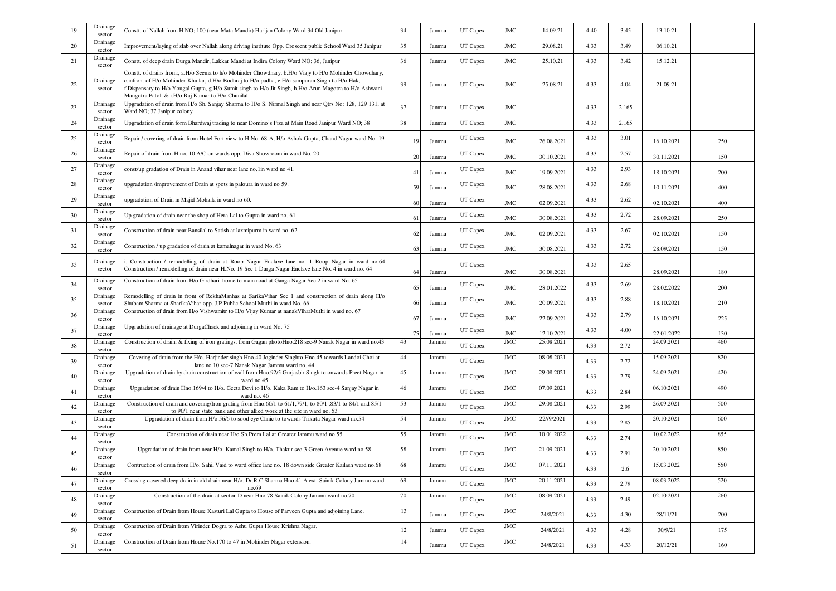| 19 | Drainage<br>sector | Constt. of Nallah from H.NO; 100 (near Mata Mandir) Harijan Colony Ward 34 Old Janipur                                                                                                                                                                                                                                                                                    | 34 | Jammu | UT Capex | <b>JMC</b>        | 14.09.21   | 4.40 | 3.45  | 13.10.21   |     |
|----|--------------------|---------------------------------------------------------------------------------------------------------------------------------------------------------------------------------------------------------------------------------------------------------------------------------------------------------------------------------------------------------------------------|----|-------|----------|-------------------|------------|------|-------|------------|-----|
| 20 | Drainage<br>sector | mprovement/laying of slab over Nallah along driving institute Opp. Croscent public School Ward 35 Janipur                                                                                                                                                                                                                                                                 | 35 | Jammu | UT Capex | <b>JMC</b>        | 29.08.21   | 4.33 | 3.49  | 06.10.21   |     |
| 21 | Drainage<br>sector | Constt. of deep drain Durga Mandir, Lakkar Mandi at Indira Colony Ward NO; 36, Janipur                                                                                                                                                                                                                                                                                    | 36 | Jammu | UT Capex | JMC               | 25.10.21   | 4.33 | 3.42  | 15.12.21   |     |
| 22 | Drainage<br>sector | Constt. of drains from:, a.H/o Seema to h/o Mohinder Chowdhary, b.H/o Viajy to H/o Mohinder Chowdhary,<br>c.infront of H/o Mohinder Khullar, d.H/o Bodhraj to H/o padha, e.H/o sampuran Singh to H/o Hak,<br>f.Dispensary to H/o Yougal Gupta, g.H/o Sumit singh to H/o Jit Singh, h.H/o Arun Magotra to H/o Ashwani<br>Mangotra Patoli & i.H/o Raj Kumar to H/o Chunilal | 39 | Jammu | UT Capex | JMC               | 25.08.21   | 4.33 | 4.04  | 21.09.21   |     |
| 23 | Drainage<br>sector | Upgradation of drain from H/o Sh. Sanjay Sharma to H/o S. Nirmal Singh and near Qtrs No: 128, 129 131, at<br>Ward NO; 37 Janipur colony                                                                                                                                                                                                                                   | 37 | Jammu | UT Capex | JMC               |            | 4.33 | 2.165 |            |     |
| 24 | Drainage<br>sector | Upgradation of drain form Bhardwaj trading to near Domino's Piza at Main Road Janipur Ward NO; 38                                                                                                                                                                                                                                                                         | 38 | Jammu | UT Capex | <b>JMC</b>        |            | 4.33 | 2.165 |            |     |
| 25 | Drainage<br>sector | Repair / covering of drain from Hotel Fort view to H.No. 68-A, H/o Ashok Gupta, Chand Nagar ward No. 19                                                                                                                                                                                                                                                                   | 19 | Jammu | UT Capex | <b>JMC</b>        | 26.08.2021 | 4.33 | 3.01  | 16.10.2021 | 250 |
| 26 | Drainage<br>sector | Repair of drain from H.no. 10 A/C on wards opp. Diva Showroom in ward No. 20                                                                                                                                                                                                                                                                                              | 20 | Jammu | UT Capex | <b>JMC</b>        | 30.10.2021 | 4.33 | 2.57  | 30.11.2021 | 150 |
| 27 | Drainage<br>sector | const/up gradation of Drain in Anand vihar near lane no.1in ward no 41.                                                                                                                                                                                                                                                                                                   | 41 | Jammu | UT Capex | <b>JMC</b>        | 19.09.2021 | 4.33 | 2.93  | 18.10.2021 | 200 |
| 28 | Drainage<br>sector | upgradation /improvement of Drain at spots in paloura in ward no 59.                                                                                                                                                                                                                                                                                                      | 59 | Jammu | UT Capex | <b>JMC</b>        | 28.08.2021 | 4.33 | 2.68  | 10.11.2021 | 400 |
| 29 | Drainage<br>sector | upgradation of Drain in Majid Mohalla in ward no 60.                                                                                                                                                                                                                                                                                                                      | 60 | Jammu | UT Capex | <b>JMC</b>        | 02.09.2021 | 4.33 | 2.62  | 02.10.2021 | 400 |
| 30 | Drainage<br>sector | Up gradation of drain near the shop of Hera Lal to Gupta in ward no. 61                                                                                                                                                                                                                                                                                                   | 61 | Jammu | UT Capex | $_{\mathrm{JMC}}$ | 30.08.2021 | 4.33 | 2.72  | 28.09.2021 | 250 |
| 31 | Drainage<br>sector | Construction of drain near Bansilal to Satish at laxmipurm in ward no. 62                                                                                                                                                                                                                                                                                                 | 62 | Jammu | UT Capex | <b>JMC</b>        | 02.09.2021 | 4.33 | 2.67  | 02.10.2021 | 150 |
| 32 | Drainage<br>sector | Construction / up gradation of drain at kamalnagar in ward No. 63                                                                                                                                                                                                                                                                                                         | 63 | Jammu | UT Capex | <b>JMC</b>        | 30.08.2021 | 4.33 | 2.72  | 28.09.2021 | 150 |
| 33 | Drainage<br>sector | Construction / remodelling of drain at Roop Nagar Enclave lane no. 1 Roop Nagar in ward no.64<br>Construction / remodelling of drain near H.No. 19 Sec 1 Durga Nagar Enclave lane No. 4 in ward no. 64                                                                                                                                                                    | 64 | Jammu | UT Capex | $_{\mathrm{JMC}}$ | 30.08.2021 | 4.33 | 2.65  | 28.09.2021 | 180 |
| 34 | Drainage<br>sector | Construction of drain from H/o Girdhari home to main road at Ganga Nagar Sec 2 in ward No. 65                                                                                                                                                                                                                                                                             | 65 | Jammu | UT Capex | <b>JMC</b>        | 28.01.2022 | 4.33 | 2.69  | 28.02.2022 | 200 |
| 35 | Drainage<br>sector | Remodelling of drain in front of RekhaManhas at SarikaVihar Sec 1 and construction of drain along H/c<br>Shubam Sharma at SharikaVihar opp. J.P Public School Muthi in ward No. 66                                                                                                                                                                                        | 66 | Jammu | UT Capex | <b>JMC</b>        | 20.09.2021 | 4.33 | 2.88  | 18.10.2021 | 210 |
| 36 | Drainage<br>sector | Construction of drain from H/o Vishwamitr to H/o Vijay Kumar at nanakViharMuthi in ward no. 67                                                                                                                                                                                                                                                                            | 67 | Jammu | UT Capex | $_{\mathrm{JMC}}$ | 22.09.2021 | 4.33 | 2.79  | 16.10.2021 | 225 |
| 37 | Drainage<br>sector | Upgradation of drainage at DurgaChack and adjoining in ward No. 75                                                                                                                                                                                                                                                                                                        | 75 | Jammu | UT Capex | <b>JMC</b>        | 12.10.2021 | 4.33 | 4.00  | 22.01.2022 | 130 |
| 38 | Drainage<br>sector | Construction of drain, & fixing of iron gratings, from Gagan photoHno.218 sec-9 Nanak Nagar in ward no.43                                                                                                                                                                                                                                                                 | 43 | Jammu | UT Capex | <b>JMC</b>        | 25.08.2021 | 4.33 | 2.72  | 24.09.2021 | 460 |
| 39 | Drainage<br>sector | Covering of drain from the H/o. Harjinder singh Hno.40 Joginder Singhto Hno.45 towards Landoi Choi at<br>lane no.10 sec-7 Nanak Nagar Jammu ward no. 44                                                                                                                                                                                                                   | 44 | Jammu | UT Capex | <b>JMC</b>        | 08.08.2021 | 4.33 | 2.72  | 15.09.2021 | 820 |
| 40 | Drainage<br>sector | Upgradation of drain by drain construction of wall from Hno.92/5 Gurjasbir Singh to onwards Preet Nagar in<br>ward no.45                                                                                                                                                                                                                                                  | 45 | Jammu | UT Capex | <b>JMC</b>        | 29.08.2021 | 4.33 | 2.79  | 24.09.2021 | 420 |
| 41 | Drainage<br>sector | Upgradation of drain Hno.169/4 to H/o. Geeta Devi to H/o. Kaka Ram to H/o.163 sec-4 Sanjay Nagar in<br>ward no. 46                                                                                                                                                                                                                                                        | 46 | Jammu | UT Capex | <b>JMC</b>        | 07.09.2021 | 4.33 | 2.84  | 06.10.2021 | 490 |
| 42 | Drainage<br>sector | Construction of drain and covering/Iron grating from Hno.60/1 to 61/1,79/1, to 80/1,83/1 to 84/1 and 85/1<br>to 90/1 near state bank and other allied work at the site in ward no. 53                                                                                                                                                                                     | 53 | Jammu | UT Capex | <b>JMC</b>        | 29.08.2021 | 4.33 | 2.99  | 26.09.2021 | 500 |
| 43 | Drainage<br>sector | Upgradation of drain from H/o.56/6 to sood eye Clinic to towards Trikuta Nagar ward no.54                                                                                                                                                                                                                                                                                 | 54 | Jammu | UT Capex | $JMC$             | 22//9/2021 | 4.33 | 2.85  | 20.10.2021 | 600 |
| 44 | Drainage<br>sector | Construction of drain near H/o.Sh.Prem Lal at Greater Jammu ward no.55                                                                                                                                                                                                                                                                                                    | 55 | Jammu | UT Capex | <b>JMC</b>        | 10.01.2022 | 4.33 | 2.74  | 10.02.2022 | 855 |
| 45 | Drainage<br>sector | Upgradation of drain from near H/o. Kamal Singh to H/o. Thakur sec-3 Green Avenue ward no.58                                                                                                                                                                                                                                                                              | 58 | Jammu | UT Capex | <b>JMC</b>        | 21.09.2021 | 4.33 | 2.91  | 20.10.2021 | 850 |
|    | Drainage<br>sector | Contruction of drain from H/o. Sahil Vaid to ward office lane no. 18 down side Greater Kailash ward no.68                                                                                                                                                                                                                                                                 | 68 | Jammu | UT Capex | <b>JMC</b>        | 07.11.2021 | 4.33 | 2.6   | 15.03.2022 | 550 |
| 47 | Drainage<br>sector | Crossing covered deep drain in old drain near H/o. Dr.R.C Sharma Hno.41 A ext. Sainik Colony Jammu ward<br>no.69                                                                                                                                                                                                                                                          | 69 | Jammu | UT Capex | <b>JMC</b>        | 20.11.2021 | 4.33 | 2.79  | 08.03.2022 | 520 |
| 48 | Drainage<br>sector | Construction of the drain at sector-D near Hno.78 Sainik Colony Jammu ward no.70                                                                                                                                                                                                                                                                                          | 70 | Jammu | UT Capex | $_{\mathrm{JMC}}$ | 08.09.2021 | 4.33 | 2.49  | 02.10.2021 | 260 |
| 49 | Drainage<br>sector | Construction of Drain from House Kasturi Lal Gupta to House of Parveen Gupta and adjoining Lane.                                                                                                                                                                                                                                                                          | 13 | Jammu | UT Capex | $_{\mathrm{JMC}}$ | 24/8/2021  | 4.33 | 4.30  | 28/11/21   | 200 |
| 50 | Drainage<br>sector | Construction of Drain from Virinder Dogra to Ashu Gupta House Krishna Nagar.                                                                                                                                                                                                                                                                                              | 12 | Jammu | UT Capex | <b>JMC</b>        | 24/8/2021  | 4.33 | 4.28  | 30/9/21    | 175 |
| 51 | Drainage<br>sector | Construction of Drain from House No.170 to 47 in Mohinder Nagar extension.                                                                                                                                                                                                                                                                                                | 14 | Jammu | UT Capex | JMC               | 24/8/2021  | 4.33 | 4.33  | 20/12/21   | 160 |